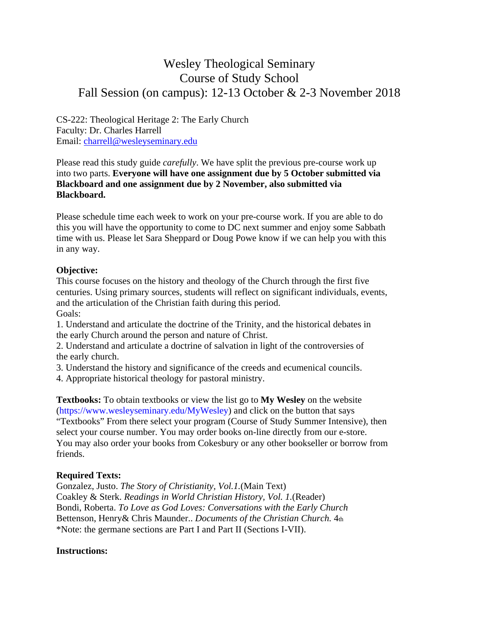# Wesley Theological Seminary Course of Study School Fall Session (on campus): 12-13 October & 2-3 November 2018

CS-222: Theological Heritage 2: The Early Church Faculty: Dr. Charles Harrell Email: charrell@wesleyseminary.edu

Please read this study guide *carefully*. We have split the previous pre-course work up into two parts. **Everyone will have one assignment due by 5 October submitted via Blackboard and one assignment due by 2 November, also submitted via Blackboard.** 

Please schedule time each week to work on your pre-course work. If you are able to do this you will have the opportunity to come to DC next summer and enjoy some Sabbath time with us. Please let Sara Sheppard or Doug Powe know if we can help you with this in any way.

#### **Objective:**

This course focuses on the history and theology of the Church through the first five centuries. Using primary sources, students will reflect on significant individuals, events, and the articulation of the Christian faith during this period. Goals:

1. Understand and articulate the doctrine of the Trinity, and the historical debates in the early Church around the person and nature of Christ.

2. Understand and articulate a doctrine of salvation in light of the controversies of the early church.

3. Understand the history and significance of the creeds and ecumenical councils.

4. Appropriate historical theology for pastoral ministry.

**Textbooks:** To obtain textbooks or view the list go to **My Wesley** on the website (https://www.wesleyseminary.edu/MyWesley) and click on the button that says "Textbooks" From there select your program (Course of Study Summer Intensive), then select your course number. You may order books on-line directly from our e-store. You may also order your books from Cokesbury or any other bookseller or borrow from friends.

## **Required Texts:**

Gonzalez, Justo. *The Story of Christianity, Vol.1.*(Main Text) Coakley & Sterk. *Readings in World Christian History, Vol. 1.*(Reader) Bondi, Roberta. *To Love as God Loves: Conversations with the Early Church*  Bettenson, Henry& Chris Maunder.. *Documents of the Christian Church.* 4th \*Note: the germane sections are Part I and Part II (Sections I-VII).

#### **Instructions:**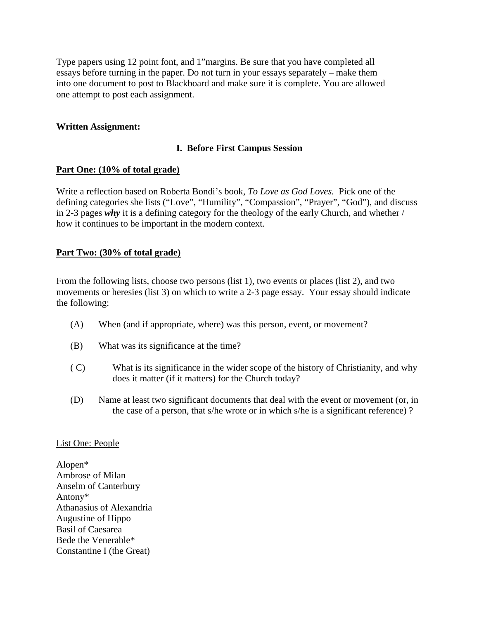Type papers using 12 point font, and 1"margins. Be sure that you have completed all essays before turning in the paper. Do not turn in your essays separately – make them into one document to post to Blackboard and make sure it is complete. You are allowed one attempt to post each assignment.

## **Written Assignment:**

## **I. Before First Campus Session**

#### **Part One: (10% of total grade)**

Write a reflection based on Roberta Bondi's book, *To Love as God Loves.* Pick one of the defining categories she lists ("Love", "Humility", "Compassion", "Prayer", "God"), and discuss in 2-3 pages *why* it is a defining category for the theology of the early Church, and whether / how it continues to be important in the modern context.

#### **Part Two: (30% of total grade)**

From the following lists, choose two persons (list 1), two events or places (list 2), and two movements or heresies (list 3) on which to write a 2-3 page essay. Your essay should indicate the following:

- (A) When (and if appropriate, where) was this person, event, or movement?
- (B) What was its significance at the time?
- ( C) What is its significance in the wider scope of the history of Christianity, and why does it matter (if it matters) for the Church today?
- (D) Name at least two significant documents that deal with the event or movement (or, in the case of a person, that s/he wrote or in which s/he is a significant reference) ?

#### List One: People

Alopen\* Ambrose of Milan Anselm of Canterbury Antony\* Athanasius of Alexandria Augustine of Hippo Basil of Caesarea Bede the Venerable\* Constantine I (the Great)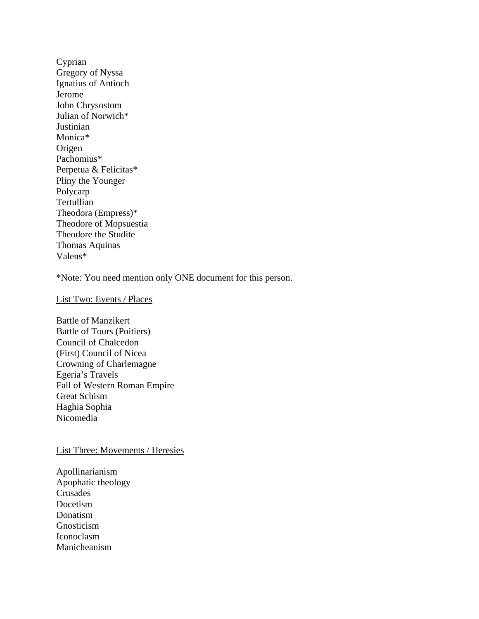Cyprian Gregory of Nyssa Ignatius of Antioch Jerome John Chrysostom Julian of Norwich\* Justinian Monica\* Origen Pachomius\* Perpetua & Felicitas\* Pliny the Younger Polycarp **Tertullian** Theodora (Empress)\* Theodore of Mopsuestia Theodore the Studite Thomas Aquinas Valens\*

\*Note: You need mention only ONE document for this person.

List Two: Events / Places

Battle of Manzikert Battle of Tours (Poitiers) Council of Chalcedon (First) Council of Nicea Crowning of Charlemagne Egeria's Travels Fall of Western Roman Empire Great Schism Haghia Sophia Nicomedia

#### List Three: Movements / Heresies

Apollinarianism Apophatic theology Crusades Docetism Donatism Gnosticism Iconoclasm Manicheanism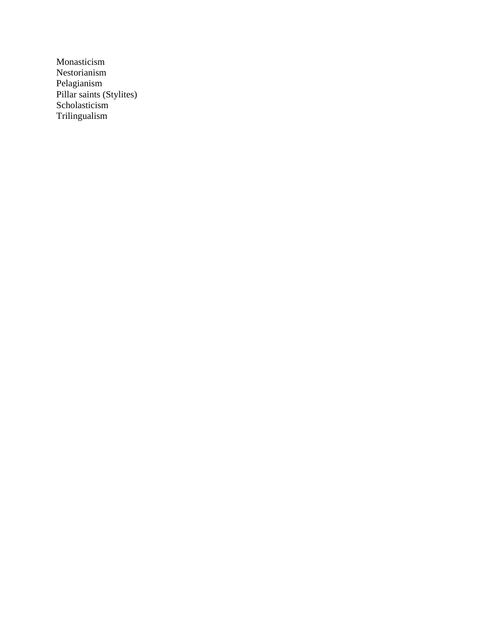Monasticism Nestorianism Pelagianism Pillar saints (Stylites) Scholasticism Trilingualism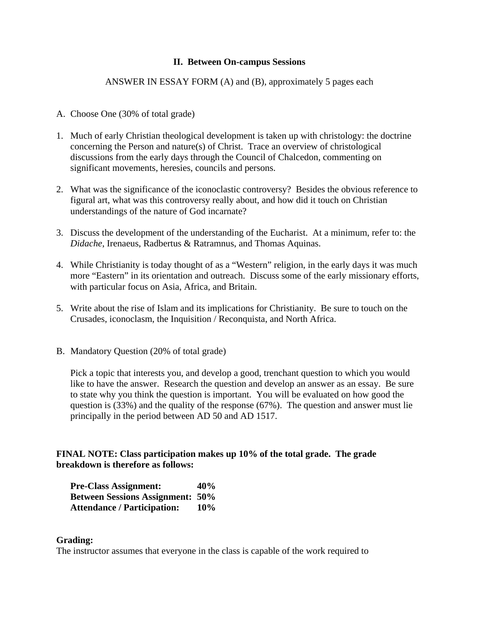## **II. Between On-campus Sessions**

## ANSWER IN ESSAY FORM (A) and (B), approximately 5 pages each

- A. Choose One (30% of total grade)
- 1. Much of early Christian theological development is taken up with christology: the doctrine concerning the Person and nature(s) of Christ. Trace an overview of christological discussions from the early days through the Council of Chalcedon, commenting on significant movements, heresies, councils and persons.
- 2. What was the significance of the iconoclastic controversy? Besides the obvious reference to figural art, what was this controversy really about, and how did it touch on Christian understandings of the nature of God incarnate?
- 3. Discuss the development of the understanding of the Eucharist. At a minimum, refer to: the *Didache*, Irenaeus, Radbertus & Ratramnus, and Thomas Aquinas.
- 4. While Christianity is today thought of as a "Western" religion, in the early days it was much more "Eastern" in its orientation and outreach. Discuss some of the early missionary efforts, with particular focus on Asia, Africa, and Britain.
- 5. Write about the rise of Islam and its implications for Christianity. Be sure to touch on the Crusades, iconoclasm, the Inquisition / Reconquista, and North Africa.
- B. Mandatory Question (20% of total grade)

Pick a topic that interests you, and develop a good, trenchant question to which you would like to have the answer. Research the question and develop an answer as an essay. Be sure to state why you think the question is important. You will be evaluated on how good the question is (33%) and the quality of the response (67%). The question and answer must lie principally in the period between AD 50 and AD 1517.

**FINAL NOTE: Class participation makes up 10% of the total grade. The grade breakdown is therefore as follows:** 

| <b>Pre-Class Assignment:</b>            | 40% |
|-----------------------------------------|-----|
| <b>Between Sessions Assignment: 50%</b> |     |
| <b>Attendance / Participation:</b>      | 10% |

#### **Grading:**

The instructor assumes that everyone in the class is capable of the work required to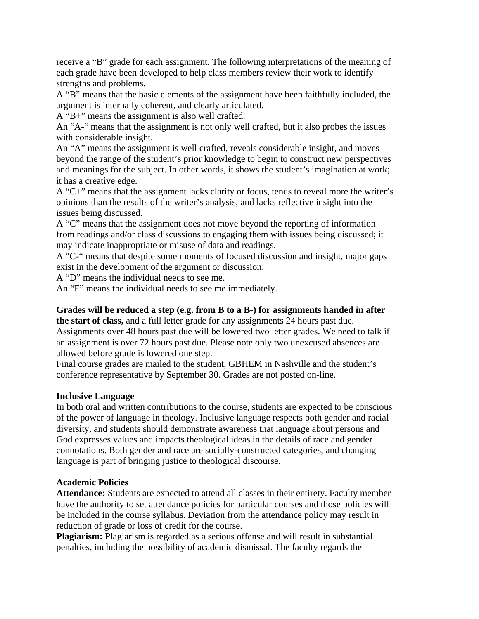receive a "B" grade for each assignment. The following interpretations of the meaning of each grade have been developed to help class members review their work to identify strengths and problems.

A "B" means that the basic elements of the assignment have been faithfully included, the argument is internally coherent, and clearly articulated.

A "B+" means the assignment is also well crafted.

An "A-" means that the assignment is not only well crafted, but it also probes the issues with considerable insight.

An "A" means the assignment is well crafted, reveals considerable insight, and moves beyond the range of the student's prior knowledge to begin to construct new perspectives and meanings for the subject. In other words, it shows the student's imagination at work; it has a creative edge.

A "C+" means that the assignment lacks clarity or focus, tends to reveal more the writer's opinions than the results of the writer's analysis, and lacks reflective insight into the issues being discussed.

A "C" means that the assignment does not move beyond the reporting of information from readings and/or class discussions to engaging them with issues being discussed; it may indicate inappropriate or misuse of data and readings.

A "C-" means that despite some moments of focused discussion and insight, major gaps exist in the development of the argument or discussion.

A "D" means the individual needs to see me.

An "F" means the individual needs to see me immediately.

### **Grades will be reduced a step (e.g. from B to a B-) for assignments handed in after**

**the start of class,** and a full letter grade for any assignments 24 hours past due. Assignments over 48 hours past due will be lowered two letter grades. We need to talk if an assignment is over 72 hours past due. Please note only two unexcused absences are allowed before grade is lowered one step.

Final course grades are mailed to the student, GBHEM in Nashville and the student's conference representative by September 30. Grades are not posted on-line.

#### **Inclusive Language**

In both oral and written contributions to the course, students are expected to be conscious of the power of language in theology. Inclusive language respects both gender and racial diversity, and students should demonstrate awareness that language about persons and God expresses values and impacts theological ideas in the details of race and gender connotations. Both gender and race are socially-constructed categories, and changing language is part of bringing justice to theological discourse.

#### **Academic Policies**

**Attendance:** Students are expected to attend all classes in their entirety. Faculty member have the authority to set attendance policies for particular courses and those policies will be included in the course syllabus. Deviation from the attendance policy may result in reduction of grade or loss of credit for the course.

**Plagiarism:** Plagiarism is regarded as a serious offense and will result in substantial penalties, including the possibility of academic dismissal. The faculty regards the